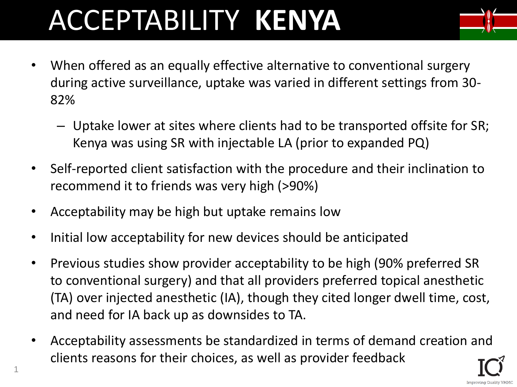# ACCEPTABILITY **KENYA**



- When offered as an equally effective alternative to conventional surgery during active surveillance, uptake was varied in different settings from 30- 82%
	- Uptake lower at sites where clients had to be transported offsite for SR; Kenya was using SR with injectable LA (prior to expanded PQ)
- Self-reported client satisfaction with the procedure and their inclination to recommend it to friends was very high (>90%)
- Acceptability may be high but uptake remains low
- Initial low acceptability for new devices should be anticipated
- Previous studies show provider acceptability to be high (90% preferred SR to conventional surgery) and that all providers preferred topical anesthetic (TA) over injected anesthetic (IA), though they cited longer dwell time, cost, and need for IA back up as downsides to TA.
- Acceptability assessments be standardized in terms of demand creation and clients reasons for their choices, as well as provider feedback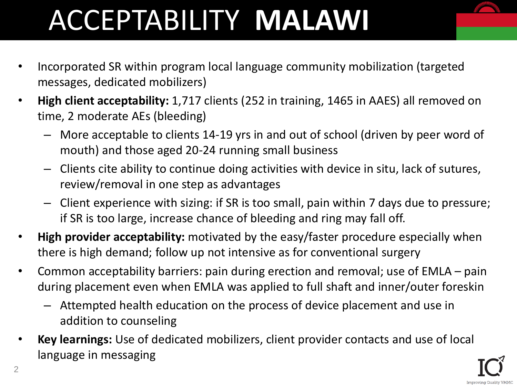## ACCEPTABILITY **MALAWI**

- Incorporated SR within program local language community mobilization (targeted messages, dedicated mobilizers)
- **High client acceptability:** 1,717 clients (252 in training, 1465 in AAES) all removed on time, 2 moderate AEs (bleeding)
	- More acceptable to clients 14-19 yrs in and out of school (driven by peer word of mouth) and those aged 20-24 running small business
	- Clients cite ability to continue doing activities with device in situ, lack of sutures, review/removal in one step as advantages
	- Client experience with sizing: if SR is too small, pain within 7 days due to pressure; if SR is too large, increase chance of bleeding and ring may fall off.
- **High provider acceptability:** motivated by the easy/faster procedure especially when there is high demand; follow up not intensive as for conventional surgery
- Common acceptability barriers: pain during erection and removal; use of EMLA pain during placement even when EMLA was applied to full shaft and inner/outer foreskin
	- Attempted health education on the process of device placement and use in addition to counseling
- **Key learnings:** Use of dedicated mobilizers, client provider contacts and use of local language in messaging